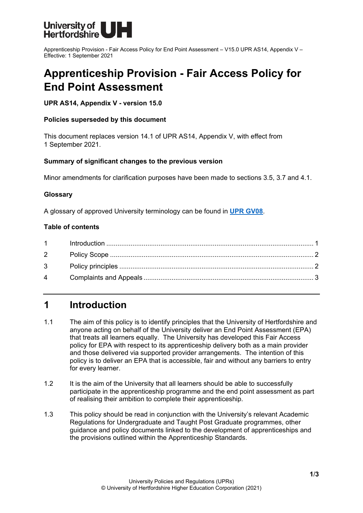

Apprenticeship Provision - Fair Access Policy for End Point Assessment – V15.0 UPR AS14, Appendix V – Effective: 1 September 2021

# **Apprenticeship Provision - Fair Access Policy for End Point Assessment**

### **UPR AS14, Appendix V - version 15.0**

### **Policies superseded by this document**

This document replaces version 14.1 of UPR AS14, Appendix V, with effect from 1 September 2021.

### **Summary of significant changes to the previous version**

Minor amendments for clarification purposes have been made to sections 3.5, 3.7 and 4.1.

### **Glossary**

A glossary of approved University terminology can be found in **[UPR GV08](https://www.herts.ac.uk/__data/assets/pdf_file/0020/233057/GV08-Glossary-of-Terminology.pdf)**.

### **Table of contents**

### <span id="page-0-0"></span>**1 Introduction**

- 1.1 The aim of this policy is to identify principles that the University of Hertfordshire and anyone acting on behalf of the University deliver an End Point Assessment (EPA) that treats all learners equally. The University has developed this Fair Access policy for EPA with respect to its apprenticeship delivery both as a main provider and those delivered via supported provider arrangements. The intention of this policy is to deliver an EPA that is accessible, fair and without any barriers to entry for every learner.
- 1.2 It is the aim of the University that all learners should be able to successfully participate in the apprenticeship programme and the end point assessment as part of realising their ambition to complete their apprenticeship.
- 1.3 This policy should be read in conjunction with the University's relevant Academic Regulations for Undergraduate and Taught Post Graduate programmes, other guidance and policy documents linked to the development of apprenticeships and the provisions outlined within the Apprenticeship Standards.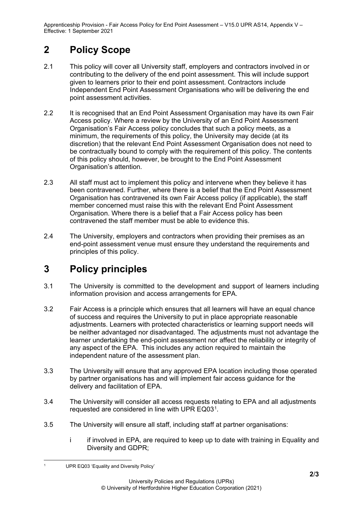Apprenticeship Provision - Fair Access Policy for End Point Assessment – V15.0 UPR AS14, Appendix V – Effective: 1 September 2021

## <span id="page-1-0"></span>**2 Policy Scope**

- 2.1 This policy will cover all University staff, employers and contractors involved in or contributing to the delivery of the end point assessment. This will include support given to learners prior to their end point assessment. Contractors include Independent End Point Assessment Organisations who will be delivering the end point assessment activities.
- 2.2 It is recognised that an End Point Assessment Organisation may have its own Fair Access policy. Where a review by the University of an End Point Assessment Organisation's Fair Access policy concludes that such a policy meets, as a minimum, the requirements of this policy, the University may decide (at its discretion) that the relevant End Point Assessment Organisation does not need to be contractually bound to comply with the requirement of this policy. The contents of this policy should, however, be brought to the End Point Assessment Organisation's attention.
- 2.3 All staff must act to implement this policy and intervene when they believe it has been contravened. Further, where there is a belief that the End Point Assessment Organisation has contravened its own Fair Access policy (if applicable), the staff member concerned must raise this with the relevant End Point Assessment Organisation. Where there is a belief that a Fair Access policy has been contravened the staff member must be able to evidence this.
- 2.4 The University, employers and contractors when providing their premises as an end-point assessment venue must ensure they understand the requirements and principles of this policy.

## <span id="page-1-1"></span>**3 Policy principles**

- 3.1 The University is committed to the development and support of learners including information provision and access arrangements for EPA.
- 3.2 Fair Access is a principle which ensures that all learners will have an equal chance of success and requires the University to put in place appropriate reasonable adjustments. Learners with protected characteristics or learning support needs will be neither advantaged nor disadvantaged. The adjustments must not advantage the learner undertaking the end-point assessment nor affect the reliability or integrity of any aspect of the EPA. This includes any action required to maintain the independent nature of the assessment plan.
- 3.3 The University will ensure that any approved EPA location including those operated by partner organisations has and will implement fair access guidance for the delivery and facilitation of EPA.
- 3.4 The University will consider all access requests relating to EPA and all adjustments requested are considered in line with UPR EQ03[1.](#page-1-2)
- 3.5 The University will ensure all staff, including staff at partner organisations:
	- i if involved in EPA, are required to keep up to date with training in Equality and Diversity and GDPR;

<span id="page-1-2"></span>UPR EQ03 'Equality and Diversity Policy'